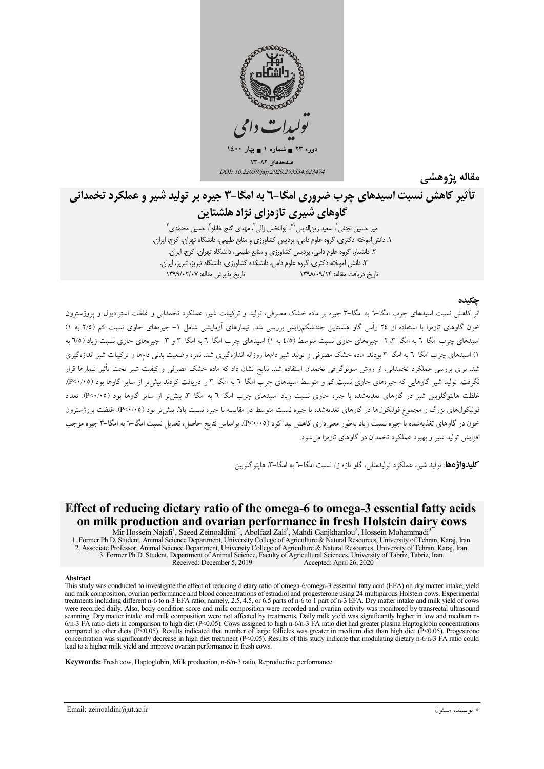

مقاله يژوهشي

# تأثیر کاهش نسبت اسیدهای جرب ضروری امگا-٦ به امگا-٣ چیره بر تولید شیر و عملکرد تخمدانی

گاوهای شیری تازهزای نژاد هلشتاین مير حسين نجفي`، سعيد زين|لديني`"ٌ، ابوالفضل زالي <sup>٢</sup>، مهدي گنج خانلو<sup>٢</sup>، حسين محمّدي ّ`

١. دانش آموخته دكترى، گروه علوم دامى، پرديس كشاورزى و منابع طبيعى، دانشگاه تهران، كرج، ايران. ۲. دانشیار، گروه علوم دامی، پردیس کشاورزی و منابع طبیعی، دانشگاه تهران، کرج، ایران. ۳. دانش آموخته دکتری، گروه علوم دامی، دانشکده کشاورزی، دانشگاه تبریز، تبریز، ایران. تاريخ يذيرش مقاله: ١٣٩٩/٠٢/٠٧ تاریخ دریافت مقاله: ۱۳۹۸/۰۹/۱۴

### حكىدە

اثر کاهش نسبت اسیدهای چرب امگا–٦ به امگا–٣ جیره بر ماده خشک مصرفی، تولید و ترکیبات شیر، عملکرد تخمدانی و غلظت استرادیول و پروژسترون خون گاوهای تازهزا با استفاده از ۲٤ رأس گاو هلشتاین چندشکمزایش بررسی شد. تیمارهای آزمایشی شامل ۱– جیرههای حاوی نسبت کم (۲/۵ به ۱) اسدهای جرب امگا–٦ به امگا–٣، ٢– جبرههای حاوی نست متوسط (٤/٥ به ١) اسدهای چرب امگا–٦ به امگا–٣ و ٣– جبرههای حاوی نست زیاد (٧٥ به ۱) اسیدهای چرب امگا–۳ به امگا–۳ بودند. ماده خشک مصرفی و تولید شیر دامها روزانه اندازهگیری شد. نمره وضعیت بدنی دامها و ترکیبات شیر اندازهگیری شد. برای بررسی عملکرد تخمدانی، از روش سونوگرافی تخمدان استفاده شد. نتایج نشان داد که ماده خشک مصرفی و کیفیت شیر تحت تأثیر تیمارها قرار نگرفت. تولید شیر گاوهایی که جیرههای حاوی نسبت کم و متوسط اسیدهای چرب امگا–٦ به امگا–٣ را دریافت کردند بیش تر از سایر گاوها بود (٢٠٠/٠٥). .<br>غلظت هایتوگلوبین شیر در گاوهای تغذیهشده با جیره حاوی نسبت زیاد اسیدهای چرب امگا–۳ به امگا–۳، بیش تر از سایر گاوها بود (۴٬۰/۰۵). تعداد فولیکولهای بزرگ و مجموع فولیکولها در گاوهای تغذیهشده با جیره نسبت متوسط در مقایسه با جیره نسبت بالا، بیش تر بود (٩٠/٠٥). غلظت پروژسترون خون در گاوهای تغذیهشده با جیره نسبت زیاد بهطور معنیداری کاهش پیدا کرد (P<۰/۰۵). براساس نتایج حاصل، تعدیل نسبت امگا–۳ به امگا–۳ جیره موجب افزایش تولید شیر و بهبود عملکرد تخمدان در گاوهای تازهزا مے شود.

**کلیدواژهها**: تولید شبر، عملکرد تولیدمثلی، گاو تازه زا، نسبت امگا–۳ به امگا–۳، هایتوگلوسن.

# Effect of reducing dietary ratio of the omega-6 to omega-3 essential fatty acids on milk production and ovarian performance in fresh Holstein dairy cows

Mir Hossein Najafi<sup>1</sup>, Saeed Zeinoaldini<sup>2\*</sup>, Abolfazl Zali<sup>2</sup>, Mahdi Ganjkhanlou<sup>2</sup>, Hossein Mohammadi<sup>3</sup> 1. Former Ph.D. Student, Animal Science Department, University College of Agriculture & Natural Resources, University of Tehran, Karaj, Iran. 2. Associate Professor, Animal Science Department, University College of Agriculture & Natural Resources, University of Tehran, Karaj, Iran. 3. Former Ph.D. Student, Department of Animal Science, Faculty of Agricultural Sciences, University of Tabriz, Tabriz, Iran. Received: December 5, 2019 Accepted: April 26, 2020

#### **Abstract**

This study was conducted to investigate the effect of reducing dietary ratio of omega-6/omega-3 essential fatty acid (EFA) on dry matter intake, yield and milk composition, ovarian performance and blood concentrations of estradiol and progesterone using 24 multiparous Holstein cows. Experimental treatments including different n-6 to n-3 EFA ratio; namely, 2.5, 4.5, or 6.5 parts of n-6 to 1 part of n-3 EFA. Dry matter intake and milk yield of cows were recorded daily. Also, body condition score and milk composition scanning. Dry matter intake and milk composition were not affected by treatments. Daily milk yield was significantly higher in low and medium n- $6/n-3$  FA ratio diets in comparison to high diet (P<0.05). Cows assigned to high n-6/n-3 FA ratio diet had greater plasma Haptoglobin concentrations compared to other diets ( $P<0.05$ ). Results indicated that number of large follicles was greater in medium diet than high diet ( $P<0.05$ ). Progestrone concentration was significantly decrease in high diet treatment ( $P<0.05$ ). Results of this study indicate that modulating dietary n-6/n-3 FA ratio could lead to a higher milk vield and improve ovarian performance in fresh cows.

Keywords: Fresh cow, Haptoglobin, Milk production, n-6/n-3 ratio, Reproductive performance.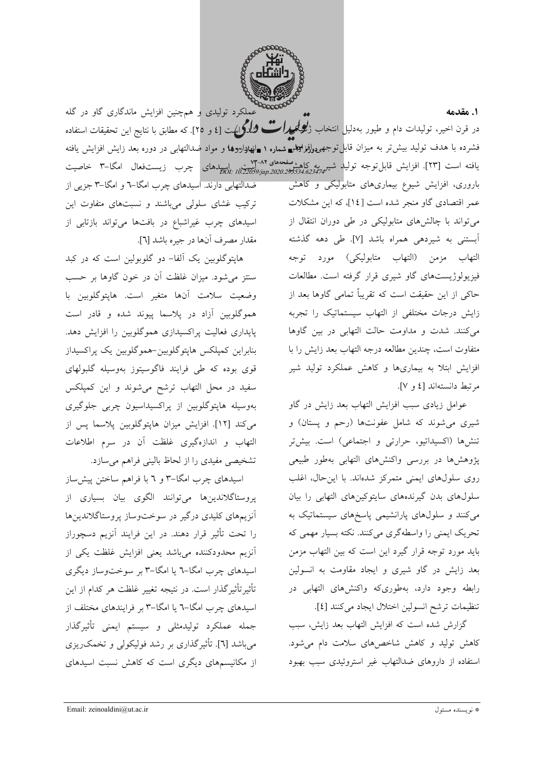

.<br>عملکرد تولیدی و همچنین افزایش ماندگاری گاو در گله ۱. مقدمه در قرن اخیر، تولیدات دام و طیور بهدلیل انتخاب ژ*لپرلمحیدا*ت شلگرایهت [٤ و ٢٥]. که مطابق با نتایج این تحقیقات استفاده فشرده با هدف تولید بیشتر به میزان قابلتوجهۍولؤفر<del>اµتمع شماره ۱ ∎انهاداروها</del> و مواد صدالتهاب<sub>ی</sub> در دوره بعد زایش افزایش یافته یافته است [۲۳]. افزایش قابل توجه تولید شیر به کاهش<sup>مفعمه</sup>ای ۸۲-۷۳<br>یافته است [۲۳]. افزایش قابل *توج*ه تولید ش*یر به234.62347.93334.023474. pol: 10.22039jap.2020.93534.623474* 

باروری، افزایش شیوع بیماریهای متابولیکی و کاهش عمر اقتصادی گاو منجر شده است [۱٤]، که این مشکلات می تواند با چالشهای متابولیکی در طی دوران انتقال از أبستني به شيردهي همراه باشد [٧]. طي دهه گذشته التهاب مزمن (التهاب متابوليكي) مورد توجه فیزیولوژیستهای گاو شیری قرار گرفته است. مطالعات حاکی از این حقیقت است که تقریباً تمامی گاوها بعد از زایش درجات مختلفی از التهاب سیستماتیک را تجربه میکنند. شدت و مداومت حالت التهابی در بین گاوها متفاوت است، چندین مطالعه درجه التهاب بعد زایش را با افزایش ابتلا به بیماریها و کاهش عملکرد تولید شیر مرتبط دانستهاند [٤ و ٧].

عوامل زیادی سبب افزایش التهاب بعد زایش در گاو شیری می شوند که شامل عفونتها (رحم و پستان) و تنشها (اکسیداتیو، حرارتی و اجتماعی) است. بیش تر پژوهشها در بررسی واکنشهای التهابی بهطور طبیعی روی سلولهای ایمنی متمرکز شدهاند. با این حال، اغلب سلولهای بدن گیرندههای سایتوکینهای التهابی را بیان می کنند و سلولهای پارانشیمی پاسخهای سیستماتیک به تحریک ایمنی را واسطهگری میکنند. نکته بسیار مهمی که باید مورد توجه قرار گیرد این است که بین التهاب مزمن بعد زایش در گاو شیری و ایجاد مقاومت به انسولین رابطه وجود دارد، بهطوریکه واکنشهای التهابی در تنظيمات ترشح انسولين اختلال ايجاد مي كنند [٤].

گزارش شده است که افزایش التهاب بعد زایش، سبب کاهش تولید و کاهش شاخصهای سلامت دام می شود. استفاده از داروهای ضدالتهاب غیر استروئیدی سبب بهبود

ضدالتهابی دارند. اسیدهای چرب امگا–۳ و امگا–۳ جزیبی از ترکیب غشای سلولی میباشند و نسبتهای متفاوت این اسیدهای چرب غیراشباع در بافتها میتواند بازتابی از مقدار مصرف أنها در جيره باشد [٦].

هاپتوگلوبین یک اَلفا– دو گلوبولین است که در کبد سنتز می شود. میزان غلظت آن در خون گاوها بر حسب وضعيت سلامت أنها متغير است. هايتوگلوبين با هموگلوبین آزاد در پلاسما پیوند شده و قادر است پایداری فعالیت پراکسیدازی هموگلوبین را افزایش دهد. بنابراین کمپلکس هاپتوگلوبین-هموگلوبین یک پراکسیداز قوی بوده که طی فرایند فاگوسیتوز بهوسیله گلبولهای سفید در محل التهاب ترشح میشوند و این کمپلکس بەوسىلە ھاپتوگلوبين از پراكسيداسيون چربى جلوگيرى می كند [١٢]. افزايش ميزان هايتوگلوبين پلاسما پس از التهاب و اندازهگیری غلظت آن در سرم اطلاعات تشخیصی مفیدی را از لحاظ بالینی فراهم میسازد.

اسیدهای چرب امگا–۳ و ٦ با فراهم ساختن پیش ساز پروستاگلاندینها میتوانند الگوی بیان بسیاری از آنزیمهای کلیدی درگیر در سوختوساز پروستاگلاندینها را تحت تأثیر قرار دهند. در این فرایند آنزیم دسچوراز أنزيم محدودكننده مىباشد يعنى افزايش غلظت يكى از اسیدهای چرب امگا-٦ یا امگا-٣ بر سوختوساز دیگری تأثیرتأثیرگذار است. در نتیجه تغییر غلظت هر کدام از این اسیدهای چرب امگا-٦ یا امگا-٣ بر فرایندهای مختلف از جمله عملكرد توليدمثلي و سيستم ايمني تأثيرگذار میباشد [٦]. تأثیرگذاری بر رشد فولیکولی و تخمک<code>ریزی</code> از مکانیسمهای دیگری است که کاهش نسبت اسپدهای

Email: zeinoaldini@ut.ac.ir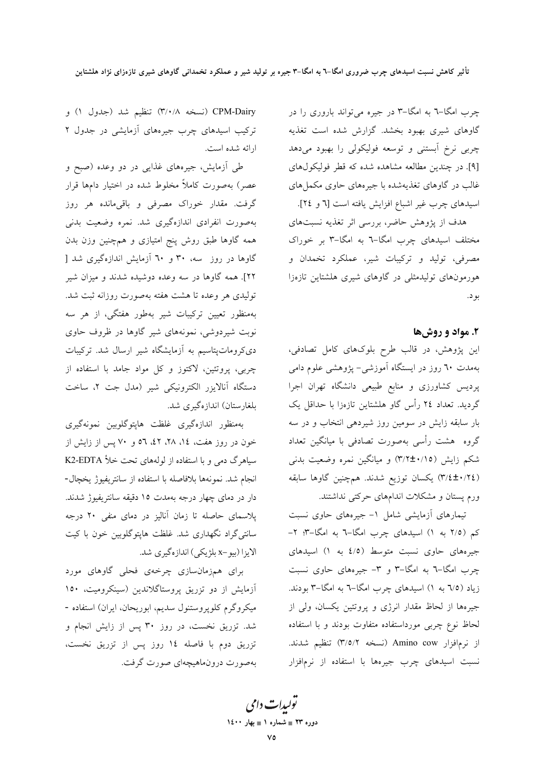چرب امگا-٦ به امگا-٣ در جيره مي تواند باروري را در گاوهای شیری بهبود بخشد. گزارش شده است تغذیه چربی نرخ آبستنی و توسعه فولیکولی را بهبود میدهد [۹]. در چندین مطالعه مشاهده شده که قطر فولیکولهای غالب در گاوهای تغذیهشده با جیرههای حاوی مکملهای اسیدهای چرب غیر اشباع افزایش یافته است [٦ و ٢٤].

هدف از پژوهش حاضر، بررسی اثر تغذیه نسبتهای مختلف اسیدهای چرب امگا-٦ به امگا-٣ بر خوراک مصرفی، تولید و ترکیبات شیر، عملکرد تخمدان و هورمونهای تولیدمثلی در گاوهای شیری هلشتاین تازهزا بو د.

## ۲. مواد و روشها

این پژوهش، در قالب طرح بلوکهای کامل تصادفی، بهمدت ٦٠ روز در ايستگاه آموزشي- پژوهشي علوم دامي پردیس کشاورزی و منابع طبیعی دانشگاه تهران اجرا گردید. تعداد ٢٤ رأس گاو هلشتاین تازهزا با حداقل یک بار سابقه زایش در سومین روز شیردهی انتخاب و در سه گروه هشت رأسی بهصورت تصادفی با میانگین تعداد شکم زایش (۳/۲±۰/۱۵) و میانگین نمره وضعیت بدنی (٣/٤±٠/٢٤) يكسان توزيع شدند. همچنين گاوها سابقه ورم پستان و مشکلات اندامهای حرکتی نداشتند.

تیمارهای آزمایشی شامل ۱- جیرههای حاوی نسبت کم (٢/٥ به ١) اسیدهای چرب امگا-٦ به امگا-٣: ٢-جیرههای حاوی نسبت متوسط (٤/٥ به ١) اسیدهای چرب امگا-٦ به امگا-٣ و ٣- جیرههای حاوی نسبت زیاد (٦/٥ به ١) اسیدهای چرب امگا–٦ به امگا–٣ بودند. جیرهها از لحاظ مقدار انرژی و پروتئین یکسان، ولی از لحاظ نوع چربی مورداستفاده متفاوت بودند و با استفاده از نرمافزار Amino cow (نسخه ٣/٥/٢) تنظيم شدند. نسبت اسیدهای چرب جیرهها با استفاده از نرمافزار

CPM-Dairy (نسخه ٣/٠/٨) تنظیم شد (جدول ١) و ترکیب اسیدهای چرب جیرههای آزمایشی در جدول ۲ ارائه شده است.

طی آزمایش، جیرههای غذایی در دو وعده (صبح و عصر) بهصورت کاملاً مخلوط شده در اختیار دامها قرار گرفت. مقدار خوراک مصرفی و باقیمانده هر روز بهصورت انفرادي اندازهگيري شد. نمره وضعيت بدني همه گاوها طبق روش پنج امتیازی و همچنین وزن بدن گاوها در روز سه، ۳۰ و ۲۰ آزمایش اندازهگیری شد [ ۲۲]. همه گاوها در سه وعده دوشیده شدند و میزان شیر تولیدی هر وعده تا هشت هفته بهصورت روزانه ثبت شد. بهمنظور تعیین ترکیبات شیر بهطور هفتگی، از هر سه نوبت شیردوشی، نمونههای شیر گاوها در ظروف حاوی دی کروماتپتاسیم به آزمایشگاه شیر ارسال شد. ترکیبات چربی، پروتئین، لاکتوز و کل مواد جامد با استفاده از دستگاه آنالایزر الکترونیکی شیر (مدل جت ۲، ساخت بلغارستان) اندازهگیری شد.

بەمنظور اندازەگیری غلظت هاپتوگلوبین نمونەگیری خون در روز هفت، ١٤، ٢٨، ٤٢، ٥٦ و ٧٠ پس از زايش از سیاهرگ دمی و با استفاده از لولههای تحت خلأ K2-EDTA انجام شد. نمونهها بلافاصله با استفاده از سانتريفيوژ يخچال-دار در دمای چهار درجه بهمدت ١٥ دقیقه سانتریفیوژ شدند. پلاسمای حاصله تا زمان آنالیز در دمای منفی ۲۰ درجه سانتی گراد نگهداری شد. غلظت هایتوگلوبین خون با کیت الايزا (بيو-x بلژيكي) اندازهگيري شد.

برای همزمانسازی چرخهی فحلی گاوهای مورد آزمایش از دو تزریق پروستاگلاندین (سینکرومیت، ۱۵۰ میکروگرم کلوپروستنول سدیم، ابوریحان، ایران) استفاده -شد. تزریق نخست، در روز ۳۰ پس از زایش انجام و تزريق دوم با فاصله ١٤ روز پس از تزريق نخست، بهصورت درون.ماهیچهای صورت گرفت.

تو*لیدات دامی* دوره ۲۳ = شماره ۱ = بهار ۱٤۰۰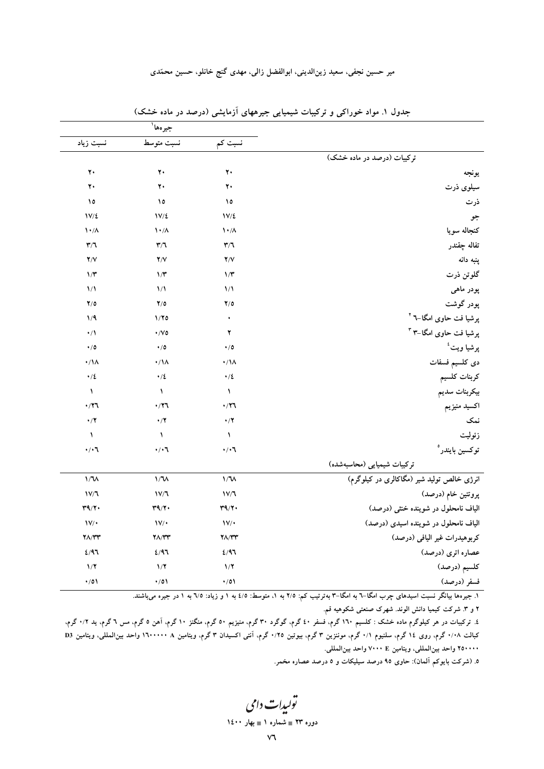میر حسین نجفی، سعید زین|لدینی، ابوالفضل زالی، مهدی گنج خانلو، حسین محمّدی

|                                            |                           | جيرەها <sup>\</sup>           |                           |  |  |
|--------------------------------------------|---------------------------|-------------------------------|---------------------------|--|--|
|                                            | نسبت کم                   | نسبت متوسط                    | نسبت زياد                 |  |  |
| ترکیبات (درصد در ماده خشک)                 |                           |                               |                           |  |  |
| يونجه                                      | ٢.                        | ۲۰                            | ٢٠                        |  |  |
| سیلوی ذرت                                  | $\mathbf{y}$              | ۲٠                            | $\mathbf{y}$              |  |  |
| ذرت                                        | ١٥                        | ١٥                            | ١٥                        |  |  |
| جو                                         | $1V/\xi$                  | $1V/\xi$                      | $1V/\xi$                  |  |  |
| كنجاله سويا                                | $\lambda \cdot / \lambda$ | $\mathcal{N} \cdot / \Lambda$ | $\lambda \cdot / \Lambda$ |  |  |
| تفاله چقندر                                | $\mathbf{r}/\mathbf{r}$   | $\mathbf{r}/\mathbf{r}$       | $\mathbf{r}/\mathbf{r}$   |  |  |
| پنبه دانه                                  | Y/Y                       | Y/Y                           | Y/Y                       |  |  |
| گلوتن ذرت                                  | $1/\tau$                  | $\frac{1}{\pi}$               | $\gamma$                  |  |  |
| پودر ماہی                                  | $\frac{1}{2}$             | $\frac{1}{\sqrt{2}}$          | $\frac{1}{2}$             |  |  |
| پودر گوشت                                  | $Y/\circ$                 | Y/O                           | Y/O                       |  |  |
| پرشیا فت حاوی امگا–٦ <sup>۲</sup>          | $\bullet$                 | 1/70                          | 1/9                       |  |  |
| پرشیا فت حاوی امگا–۳ ۳                     | ۲                         | $\cdot$ /Vo                   | $\cdot/$                  |  |  |
| پرشيا ويت <sup>ء</sup> ُ                   | $\cdot/0$                 | $\cdot/0$                     | $\cdot/0$                 |  |  |
| دى كلسيم فسفات                             | $\cdot/\lambda$           | $\cdot/\Lambda$               | $\cdot/\Lambda$           |  |  |
| كربنات كلسيم                               | $\cdot/2$                 | $\cdot/2$                     | $\cdot/2$                 |  |  |
| بيكربنات سديم                              | ١                         | $\sqrt{2}$                    | ١                         |  |  |
| اكسيد منيزيم                               | $\cdot$ /۲٦               | $\cdot$ /۲٦                   | $\cdot$ /۲٦               |  |  |
| نمک                                        | $\cdot/7$                 | $\cdot/7$                     | $\cdot/7$                 |  |  |
| زئوليت                                     | $\lambda$                 | $\lambda$                     | $\lambda$                 |  |  |
| توكسين بايندر°                             | $\cdot/\cdot$ ٦           | $\cdot/\cdot$ \[              | $\cdot/\cdot$ ٦           |  |  |
| تركيبات شيميايي (محاسبهشده)                |                           |                               |                           |  |  |
| انرژی خالص تولید شیر (مگاکالری در کیلوگرم) | $1/\nu$                   | $1/\lambda$                   | $1/\nu$                   |  |  |
| پروتئين خام (درصد)                         | 1V/T                      | 1V/T                          | 1V/T                      |  |  |
| الیاف نامحلول در شوینده خنثی (درصد)        | T9/T                      | T9/T                          | T9/T                      |  |  |
| الیاف نامحلول در شوینده اسیدی (درصد)       | $\mathsf{IV}/\bullet$     | $\mathsf{IV}/\bullet$         | $\mathsf{IV}/\bullet$     |  |  |
| كربوهيدرات غير اليافي (درصد)               | $Y\Lambda/YY$             | <b>٢٨/٣٣</b>                  | $Y\Lambda/YY$             |  |  |
| عصاره اترى (درصد)                          | 2/97                      | 2/97                          | 2/97                      |  |  |
| كلسيم (درصد)                               | 1/7                       | 1/7                           | 1/7                       |  |  |
| فسفر (درصد)                                | $\cdot/0$                 | $\cdot/0$                     | $\cdot/0$                 |  |  |

جدول ۱. مواد خوراکی و ترکیبات شیمیایی جیرههای آزمایشی (درصد در ماده خشک)

۱. جیرهها بیانگر نسبت اسیدهای چرب امگا–۲ به امگا–۳ بهترتیب کم: ۲/۵ به ۱، متوسط: ٤/٥ به ۱ و زیاد: ٦/٥ به ۱ در جیره میباشند.

۲ و ۳ شرکت کیمیا دانش الوند. شهرک صنعتی شکوهیه قم.

٤. ترکیبات در هر کیلوگرم ماده خشک : کلسیم ١٦٠ گرم، فسفر ٤٠ گرم، گوگرد ٣٠ گرم، منگر ١٠ گرم، آهن ٥ گرم، مس ٦ گرم، ید ٠/٢ گرم، کبالت ۰/۰۸ گرم، روی ۱۶ گرم، سلنیوم ۰/۱ گرم، موننزین ۳ گرم، بیوتین ۰/۲۰ گرم، آنتی اکسیدان ۳ گرم، ویتامین ۵ ۱۰۰۰۰۰ واحد بینالمللی، ویتامین D3 ۲۵۰۰۰۰ واحد بین|لمللی، ویتامین ،۲۰۰۰ E واحد بین|لمللی.

۵. (شرکت بایوکم آلمان): حاوی ۹۵ درصد سیلیکات و ۵ درصد عصاره مخمر.

تولیدات دامی دوره ۲۳ = شماره ۱ = بهار ۱٤۰۰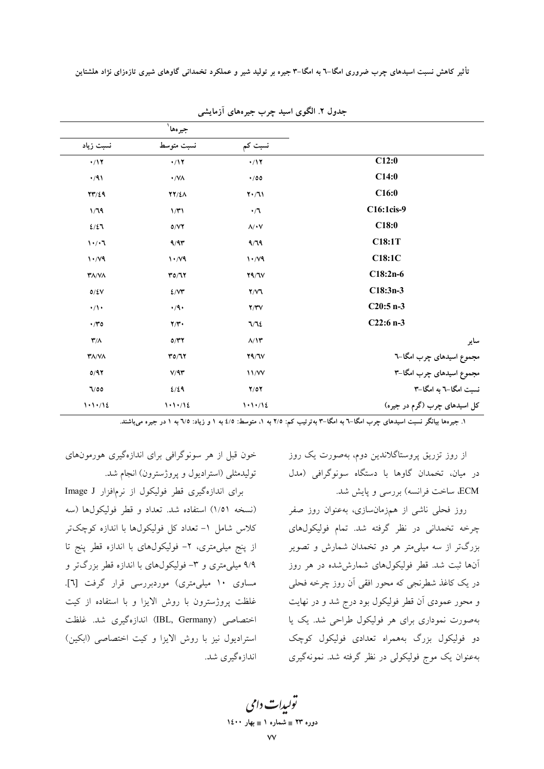|                                       | جيرەھا <sup>י</sup>             |                                 |                              |
|---------------------------------------|---------------------------------|---------------------------------|------------------------------|
| نسبت زياد                             | نسبت متوسط                      | نسبت کم                         |                              |
| $\cdot/17$                            | $\cdot/17$                      | $\cdot/17$                      | C12:0                        |
| $\cdot/91$                            | $\cdot$ /VA                     | $\cdot$ /00                     | C14:0                        |
| YY/29                                 | <b>TY/EA</b>                    | $Y \cdot / J$                   | C16:0                        |
| 1/79                                  | 1/T1                            | $\cdot/7$                       | C16:1cis-9                   |
| 2/27                                  | 0/VT                            | $\lambda/\cdot V$               | C18:0                        |
| $\mathsf{N} \cdot / \cdot \mathsf{N}$ | 9/9                             | 9/79                            | C18:1T                       |
| $\mathcal{N} \cdot \mathcal{N}$       | $\mathcal{N} \cdot \mathcal{N}$ | $\mathcal{N} \cdot \mathcal{N}$ | C18:1C                       |
| $\mathbf{Y}\Lambda/\mathbf{V}\Lambda$ | $\Upsilon \circ \Upsilon$       | Y9/Y                            | $C18:2n-6$                   |
| $0/\xi\mathrm{V}$                     | 2/VT                            | Y/Y                             | $C18:3n-3$                   |
| $\cdot/\prime$                        | $\cdot$ /9 $\cdot$              | Y/YV                            | $C20:5 n-3$                  |
| $\cdot$ /۳٥                           | Y/Y                             | 7/72                            | $C22:6n-3$                   |
| $\mathbf{r}/\Lambda$                  | O/TT                            | $\Lambda/\Upsilon$              | ساير                         |
| <b>TA/VA</b>                          | Y0/Y                            | Y9/Y                            | مجموع اسیدهای چرب امگا–٦     |
| 0/97                                  | V/9T                            | 11/VV                           | مجموع اسیدهای چرب امگا-۳     |
| 7/00                                  | 2/29                            | Y/OY                            | نسبت امگا–٦ به امگا–٣        |
| 1.1.12                                | 1.1.112                         | 1.1.112                         | کل اسیدهای چرب (گرم در جیره) |

جدول ٢. الگوی اسید چرب جیرههای آزمایشی

۱. جیرهها بیانگر نسبت اسیدهای چرب امگا–٦ به امگا–٣ بهترتیب کم: ٢/٥ به ١، متوسط: ٤/٥ به ١ و زیاد: ٦/٥ به ١ در جیره میباشند.

از روز تزریق پروستاگلاندین دوم، بهصورت یک روز در میان، تخمدان گاوها با دستگاه سونوگرافی (مدل ECM، ساخت فرانسه) بررسی و پایش شد.

روز فحلی ناشی از همزمانسازی، بهعنوان روز صفر چرخه تخمدانی در نظر گرفته شد. تمام فولیکولهای بزرگتر از سه میلی متر هر دو تخمدان شمارش و تصویر آنها ثبت شد. قطر فولیکولهای شمارششده در هر روز در یک کاغذ شطرنجی که محور افقی اَن روز چرخه فحلی و محور عمودي آن قطر فوليكول بود درج شد و در نهايت بهصورت نموداری برای هر فولیکول طراحی شد. یک یا دو فوليکول بزرگ بههمراه تعدادي فوليکول کوچک بهعنوان یک موج فولیکولی در نظر گرفته شد. نمونهگیری

خون قبل از هر سونوگرافی برای اندازهگیری هورمونهای توليدمثلي (استراديول ويروژسترون) انجام شد.

برای اندازهگیری قطر فولیکول از نرمافزار Image J (نسخه ۱/۵۱) استفاده شد. تعداد و قطر فولیکولها (سه کلاس شامل ۱- تعداد کل فولیکولها با اندازه کوچکتر از پنج میلی متری، ۲- فولیکولهای با اندازه قطر پنج تا ۹/۹ میلی متری و ۳- فولیکولهای با اندازه قطر بزرگتر و مساوی ۱۰ میلی متری) موردبررسی قرار گرفت [۲]. غلظت پروژسترون با روش الایزا و با استفاده از کیت اختصاصی (IBL, Germany) اندازهگیری شد. غلظت استرادیول نیز با روش الایزا و کیت اختصاصی (ابکین) اندازهگیری شد.

> تو<sub>لیدا</sub>ت دامی دورہ ۲۳ ∎ شمارہ ۱ ∎ بھار ۱٤۰۰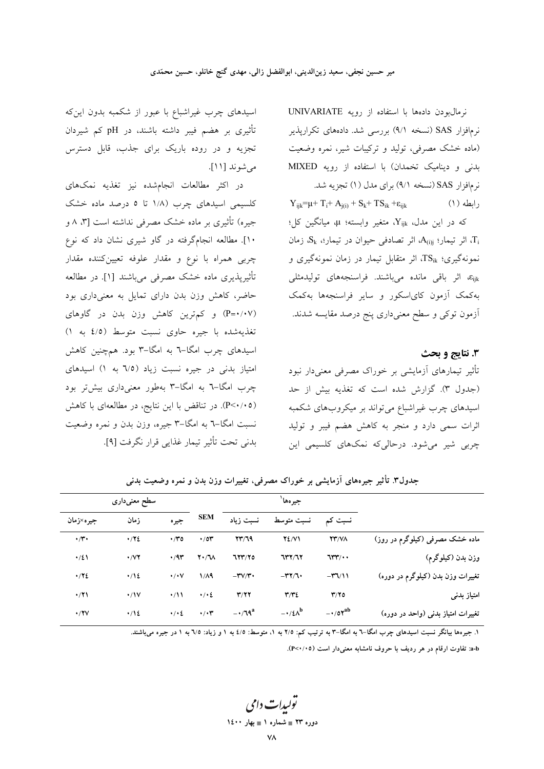نرمالبودن دادهها با استفاده از رويه UNIVARIATE نرمافزار SAS (نسخه ۹/۱) بررسی شد. دادههای تکراریذیر (ماده خشک مصرفی، تولید و ترکیبات شیر، نمره وضعیت بدنی و دینامیک تخمدان) با استفاده از رویه MIXED نر مافزار SAS (نسخه ۹/۱) برای مدل (۱) تجزیه شد.  $Y_{ijk} = \mu + T_i + A_{j(i)} + S_k + TS_{ik} + \varepsilon_{ijk}$ رابطه (۱) که در این مدل، Y<sub>ijk</sub>، متغیر وابسته؛ μ، میانگین کل؛ اثر تيمار؛ A(i) اثر تصادفي حيوان در تيمار؛، Sk، زمان  $\mathrm{G}_k$ نمونهگیری؛ TSik، اثر متقابل تیمار در زمان نمونهگیری و Eijk، اثر باقی مانده میباشند. فراسنجههای تولیدمثلی بهکمک آزمون کای اسکور و سایر فراسنجهها بهکمک آزمون توکی و سطح معنیداری پنج درصد مقایسه شدند.

3. نتايج و بحث تأثیر تیمارهای آزمایشی بر خوراک مصرفی معنیدار نبود (جدول ٣). گزارش شده است كه تغذيه بيش از حد اسیدهای چرب غیراشباع میتواند بر میکروبهای شکمبه اثرات سمی دارد و منجر به کاهش هضم فیبر و تولید چربی شیر می شود. درحالی که نمکهای کلسیمی این

اسیدهای چرب غیراشباع با عبور از شکمبه بدون اینکه تأثیری بر هضم فیبر داشته باشند، در pH کم شیردان تجزیه و در روده باریک برای جذب، قابل دسترس مي شوند [١١].

در اکثر مطالعات انجامشده نیز تغذیه نمکهای کلسیمی اسیدهای چرب (۱/۸ تا ۵ درصد ماده خشک جیره) تأثیری بر ماده خشک مصرفی نداشته است [۳، ۸ و ۱۰]. مطالعه انجامگرفته در گاو شیری نشان داد که نوع چربی همراه با نوع و مقدار علوفه تعیینکننده مقدار تأثیریذیری ماده خشک مصرفی می باشند [۱]. در مطالعه حاضر، کاهش وزن بدن دارای تمایل به معنیداری بود (P=•/۰۷) و کم ترین کاهش وزن بدن در گاوهای تغذيهشده با جيره حاوى نسبت متوسط (٤/٥ به ١) اسیدهای چرب امگا-٦ به امگا-٣ بود. همچنین کاهش امتیاز بدنی در جیره نسبت زیاد (٦/٥ به ١) اسیدهای چرب امگا-٦ به امگا-٣ بهطور معنیداری بیشتر بود (P<۰/۰۵). در تناقض با این نتایج، در مطالعهای با کاهش نسبت امگا–٦ به امگا–٣ جيره، وزن بدن و نمره وضعيت بدني تحت تأثير تيمار غذايي قرار نگرفت [٩].

جيرهها ٰ سطح معنىدارى **SEM** زمان نسبت زياد نسبت متوسط نسبت کم جيره×زمان جيره  $\cdot$  /۳ $\cdot$  $.772$  $YY/T9$  $Y\Sigma/V1$ ماده خشک مصرفی (کیلوگرم در روز)  $\cdot$  /  $\sim$  0  $\cdot$  /0۳  $YY/N$  $\cdot$  /  $\vee$   $\vee$  $\cdot/2$  $.47$  $Y \cdot /V$ 777/70  $777/77$  $75$ وزن بدن (کیلوگرم)  $\cdot/12$  $1/A9$  $-\mathbf{r} \mathbf{v}/\mathbf{r}$ تغییرات وزن بدن (کیلوگرم در دوره)  $.772$  $\cdot/\cdot$  Y  $-\mathbf{r} \mathbf{y} / \mathbf{v}$  $-\mathbf{r} \mathbf{v} \mathbf{v}$  $\cdot$ / $\vee$  $\cdot / \cdot 2$  $\cdot$ /٢١  $\cdot$ /11  $Y/YY$  $\tau/\tau$  $Y/Y$ امتياز بدني  $\cdot$ /۲۷  $\cdot$  /12  $\frac{1}{2}$  $\cdot/\cdot$ ۳  $-1$   $\gamma$  $-\cdot/\xi\Lambda^{b}$  $-10x^{ab}$ تغییرات امتیاز بدنی (واحد در دوره)

جدول۳ تأثیر جیرههای آزمایشی بر خوراک مصرفی، تغییرات وزن بدن و نمره وضعیت بدنی

۱. جیرهها بیانگر نسبت اسیدهای چرب امگا–۲ به امگا–۳ به ترتیب کم: ۲/۵ به ۱، متوسط: ٤/٥ به ۱ و زیاد: ٦/٥ به ۱ در جیره میباشند.

a-b: تفاوت ارقام در هر ردیف با حروف نامشابه معنیدار است (٣<٠/٠٥).

تولیدات دامی دوره ۲۳ = شماره ۱ = بهار ۱٤۰۰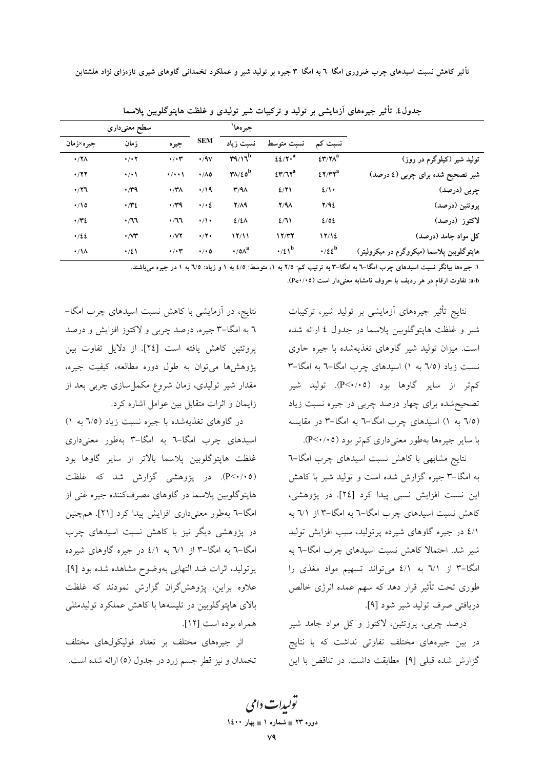|                 | سطح معنىدارى                 |                         |                    | جيرهها                                            |                        |                                 |                                            |
|-----------------|------------------------------|-------------------------|--------------------|---------------------------------------------------|------------------------|---------------------------------|--------------------------------------------|
| جیره×زمان       | زمان                         | جيره                    | <b>SEM</b>         | نسبت زياد                                         | نسبت متوسط             | نسبت کم                         |                                            |
| $\cdot$ /۲۸     | $\cdot$ / $\cdot$ $\cdot$    | $\cdot/\cdot \tau$      | $\cdot$ /9 $\vee$  | $\mathbf{r}$                                      | $22/7$ . <sup>a</sup>  | $\S$ ۳/۲ $\Lambda$ <sup>a</sup> | تولید شیر (کیلوگرم در روز)                 |
| $\cdot$ /۲۲     | $\cdot/\cdot$                | $\cdot$ / $\cdot$       | $\cdot/\Lambda$ 0  | $\mathsf{Y} \wedge / \epsilon \circ^{\mathbf{b}}$ | $257/T^a$              | $27/TY^a$                       | شیر تصحیح شده برای چربی (٤ درصد)           |
| $\cdot$ /۲٦     | $\cdot$ / $4$                | $\cdot$ /۳۸             | $\cdot$ /19        | $Y/4\Lambda$                                      | 2/71                   | 2/1                             | چربی (درصد)                                |
| $\cdot$ 10      | $\cdot$ /۳٤                  | $\cdot$ / $\gamma$ 9    | $\cdot/\cdot\zeta$ | Y/A9                                              | $Y/4\Lambda$           | Y/92                            | پروتئين (درصد)                             |
| $\cdot$ /۳٤     | $\cdot$ /77                  | $\cdot$ /11             | $\cdot/\cdot$      | $2/2\Lambda$                                      | 2/11                   | 2/02                            | لاكتوز (درصد)                              |
| .122            | $\cdot$ / $\vee\mathfrak{r}$ | $\cdot$ / $\vee$ $\vee$ | $\cdot$ /۲ $\cdot$ | 17/11                                             | 17/T7                  | 17/12                           | کل مواد جامد (درصد)                        |
| $\cdot/\lambda$ | $\cdot/21$                   | $\cdot/\cdot \tau$      | $\cdot/\cdot$ 0    | $\cdot$ /0 $\Lambda^a$                            | $\cdot/2$ <sup>b</sup> | $\cdot$ /٤٤ <sup>b</sup>        | هاپتوگلوبین پلاسما (میکروگرم در میکرولیتر) |

جدول٤. تأثیر جیرههای آزمایشی بر تولید و ترکیبات شیر تولیدی و غلظت هاپتوگلوبین پلاسما

۱. جیرهها بیانگر نسبت اسیدهای جرب امگا-٦ به امگا-٣ به ترتیب کم: ٢/٥ به ١، متوسط: ٤/٥ به ١ و زیاد: ٦/٥ به ١ در جیره می باشند.

a-b: تفاوت ارقام در هر ردیف با حروف نامشابه معنیدار است (P<۰/۰۵).

نتایج تأثیر جیرههای آزمایشی بر تولید شیر، ترکیبات شیر و غلظت هاپتوگلوبین پلاسما در جدول ٤ ارائه شده است. میزان تولید شیر گاوهای تغذیهشده با جیره حاوی نسبت زیاد (٦/٥ به ١) اسیدهای چرب امگا-٦ به امگا-٣ کم تر از سایر گاوها بود (P<۰/۰۵). تولید شیر تصحیحشده برای چهار درصد چربی در جیره نسبت زیاد (٦/٥ به ١) اسیدهای چرب امگا-٦ به امگا-٣ در مقایسه با سایر جیرهها بهطور معنیداری کمتر بود (۰/۰۵).

.<br>نتایج مشابهی با کاهش نسبت اسیدهای چرب امگا–۳ به امگا–۳ جیره گزارش شده است و تولید شیر با کاهش این نسبت افزایش نسبی پیدا کرد [۲٤]. در پژوهشی، کاهش نسبت اسیدهای چرب امگا-٦ به امگا-٣ از ٦/١ به ٤/١ در جيره گاوهاي شيرده پرتوليد، سبب افزايش توليد شیر شد. احتمالا کاهش نسبت اسیدهای چرب امگا-٦ به امگا-۳ از ۷۱ به ٤/١ میتواند تسهیم مواد مغذی را طوری تحت تأثیر قرار دهد که سهم عمده انرژی خالص دريافتي صرف توليد شير شود [۹].

درصد چربی، پروتئین، لاکتوز و کل مواد جامد شیر در بین جیرههای مختلف تفاوتی نداشت که با نتایج گزارش شده قبلی [۹] مطابقت داشت. در تناقض با این

نتایج، در آزمایشی با کاهش نسبت اسیدهای چرب امگا– ٦ به امگا–٣ جیره، درصد چربی و لاکتوز افزایش و درصد پروتئین کاهش یافته است [٢٤]. از دلایل تفاوت بین پژوهشها میتوان به طول دوره مطالعه، کیفیت جیره، مقدار شیر تولیدی، زمان شروع مکمل سازی چربی بعد از زایمان و اثرات متقابل بین عوامل اشاره کرد.

در گاوهای تغذیهشده با جیره نسبت زیاد (٦/٥ به ١) اسیدهای چرب امگا-۳ به امگا-۳ بهطور معنیداری غلظت هاپتوگلوبین پلاسما بالاتر از سایر گاوها بود (P<۰/۰۵). در پژوهشی گزارش شد که غلظت هايتوگلوبين پلاسما در گاوهاي مصرفکننده جيره غني از امگا-٦ بهطور معنىدارى افزايش پيدا كرد [٢١]. همچنين در پژوهشی دیگر نیز با کاهش نسبت اسیدهای چرب امگا-٦ به امگا-٣ از ٦/١ به ٤/١ در جيره گاوهاي شيرده پرتولید، اثرات ضد التهابی بهوضوح مشاهده شده بود [۹]. علاوه براین، پژوهشگران گزارش نمودند که غلظت بالای هایتوگلوبین در تلیسهها با کاهش عملکرد تولیدمثلی همراه بوده است [١٢].

اثر جیرههای مختلف بر تعداد فولیکولهای مختلف تخمدان و نیز قطر جسم زرد در جدول (٥) ارائه شده است.

تولیدات دامی دوره ۲۳ = شماره ۱ = بهار ۱٤۰۰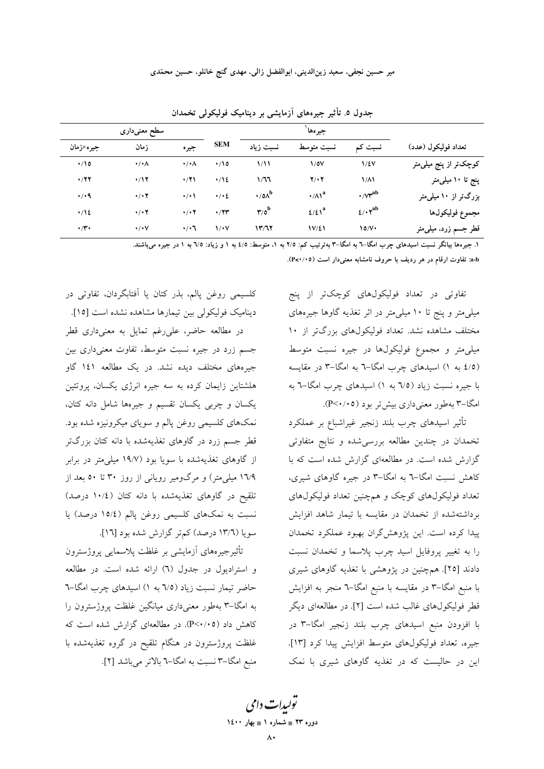| سطح معنىدارى        |                           |                          |                   | جير هها '                            |                                          |                                            |                                   |
|---------------------|---------------------------|--------------------------|-------------------|--------------------------------------|------------------------------------------|--------------------------------------------|-----------------------------------|
| جيره×زمان           | زمان                      | جيره                     | <b>SEM</b>        | نسبت زياد                            | نسبت متوسط                               | نسبت کم                                    | تعداد فوليكول (عدد)               |
| $\cdot$ 10          | $\cdot/\cdot \wedge$      | $\cdot/\cdot \wedge$     | $\cdot$ 10        | $\frac{1}{1}$                        | $\sqrt{2}$                               | $1/\epsilon v$                             | کوچکتر از پنج میلی متر            |
| $\cdot$ /۲۲         | $\cdot$ /17               | $\cdot$ /۲۱              | $\cdot$ /12       | 1/77                                 | $Y/\cdot Y$                              | $1/\lambda$                                | پنج تا ۱۰ میل <sub>ی</sub> متر    |
| $\cdot$ / $\cdot$ 9 | $\cdot$ / $\cdot$ $\cdot$ | $\cdot/\cdot$            | $\cdot / \cdot 2$ | $\cdot$ /0 $\Lambda^{\rm b}$         | $\cdot/\Lambda$ <sup>a</sup>             | $\cdot$ / $\gamma^{ab}$                    | بزرگتر از ۱۰ میلی متر             |
| $\cdot/12$          | $\cdot$ / $\cdot$ $\cdot$ | $\cdot$ / $\cdot$ $\tau$ | $\cdot$ /۲۳       | $\mathbf{r}/\mathbf{o}^{\mathbf{b}}$ | $\mathfrak{t}/\mathfrak{t}$ <sup>a</sup> | $\mathcal{L}/\cdot \mathbf{Y}^{\text{ab}}$ | مجموع فوليكولها                   |
| $\cdot$ / $\cdot$   | $\cdot/\cdot\vee$         | $\cdot$ / $\cdot$ 7      | $\sqrt{\cdot}$    | Y'/TY                                | 1V/E1                                    | 10/V                                       | قطر جسم زرد، میل <sub>ی</sub> متر |

جدول ٥. تأثیر جیرههای آزمایشی بر دینامیک فولیکولی تخمدان

۱. جیرهها بیانگر نسبت اسیدهای چرب امگا–۲ به امگا–۳ بهترتیب کم: ۲/۵ به ۱، متوسط: ٤/٥ به ۱ و زیاد: ٦/٥ به ۱ در جیره میباشند.

a-b: تفاوت ارقام در هر رديف با حروف نامشابه معنى دار است (٢<٠/٠٥).

تفاوتی در تعداد فولیکولهای کوچکتر از پنج میلی متر و پنج تا ۱۰ میلی متر در اثر تغذیه گاوها جیرههای مختلف مشاهده نشد. تعداد فولیکولهای بزرگتر از ۱۰ میلی متر و مجموع فولیکولها در جیره نسبت متوسط (٤/٥ به ١) اسیدهای چرب امگا–٦ به امگا–٣ در مقایسه با جیره نسبت زیاد (٦/٥ به ١) اسیدهای چرب امگا-٦ به امگا-۳ بهطور معنی داری بیش تر بود (۴/۰۰۵).

تأثیر اسیدهای چرب بلند زنجیر غیراشباع بر عملکرد تخمدان در چندین مطالعه بررسیشده و نتایج متفاوتی گزارش شده است. در مطالعهای گزارش شده است که با کاهش نسبت امگا–٦ به امگا–٣ در جیره گاوهای شیری، تعداد فوليكولهاي كوچك و همچنين تعداد فوليكولهاي برداشتهشده از تخمدان در مقايسه با تيمار شاهد افزايش پیدا کرده است. این پژوهش گران بهبود عملکرد تخمدان را به تغییر پروفایل اسید چرب پلاسما و تخمدان نسبت دادند [۲۵]. همچنین در پژوهشی با تغذیه گاوهای شیری با منبع امگا–۳ در مقایسه با منبع امگا–٦ منجر به افزایش قطر فوليكولهاي غالب شده است [۲]. در مطالعهاي ديگر با افزودن منبع اسیدهای چرب بلند زنجیر امگا-۳ در جيره، تعداد فوليكول هاى متوسط افزايش پيدا كرد [١٣]. این در حالیست که در تغذیه گاوهای شیری با نمک

كلسيمي روغن يالم، بذر كتان يا آفتابگردان، تفاوتي در دینامیک فولیکولی بین تیمارها مشاهده نشده است [۱۵]. در مطالعه حاضر، علىرغم تمايل به معنىدارى قطر جسم زرد در جیره نسبت متوسط، تفاوت معنیداری بین جیرههای مختلف دیده نشد. در یک مطالعه ۱٤۱ گاو هلشتاین زایمان کرده به سه جیره انرژی یکسان، پروتئین یکسان و چربی یکسان تقسیم و جیرهها شامل دانه کتان، نمکهای کلسیمی روغن پالم و سویای میکرونیزه شده بود. قطر جسم زرد در گاوهای تغذیهشده با دانه کتان بزرگتر از گاوهای تغذیهشده با سویا بود (۱۹/۷ میلی متر در برابر ۱٦/۹ میل<sub>ی</sub>متر) و مرگ0ومیر رویان<sub>ی</sub> از روز ۳۰ تا ۵۰ بعد از تلقیح در گاوهای تغذیهشده با دانه کتان (١٠/٤ درصد) نسبت به نمکهای کلسیمی روغن پالم (١٥/٤ درصد) یا سویا (١٣/٦ درصد) کم تر گزارش شده بود [١٦].

تأثیرجیرههای آزمایشی بر غلظت پلاسمایی پروژسترون و استرادیول در جدول (٦) ارائه شده است. در مطالعه حاضر تیمار نسبت زیاد (٦/٥ به ١) اسیدهای چرب امگا-٦ به امگا–۳ بهطور معنیداری میانگین غلظت پروژسترون را کاهش داد (۴/۰/۰۵). در مطالعهای گزارش شده است که غلظت پروژسترون در هنگام تلقیح در گروه تغذیهشده با منبع امگا–۳ نسبت به امگا–٦ بالاتر میباشد [۲].

تولیدات دامی دوره ۲۳ = شماره ۱ = بهار ۱٤۰۰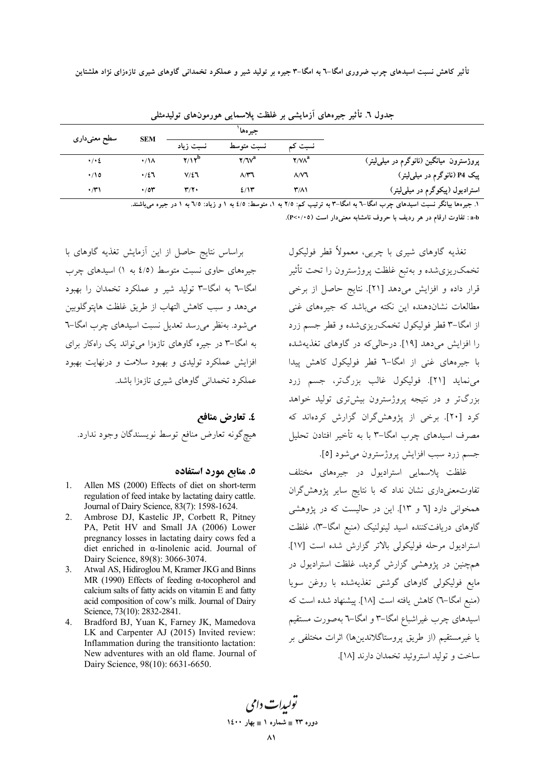|                    |                 |            | جير هھا            |                       |                                                      |  |  |
|--------------------|-----------------|------------|--------------------|-----------------------|------------------------------------------------------|--|--|
|                    |                 | نسبت زياد  | نسبت متوسط         | نسبت کم               |                                                      |  |  |
| $\cdot/\cdot\zeta$ | $\cdot/\Lambda$ | $Y/Y^D$    | $Y/V^a$            | $\gamma/\nu\lambda^a$ | پروژسترون میانگین (نانوگرم در میل <sub>م</sub> لیتر) |  |  |
| $\cdot$ 10         | $\cdot/27$      | $V/\Sigma$ | $\Lambda/\Upsilon$ | $\Lambda/\mathsf{V}$  | پیک P4 (نانوگرم در میل <sub>م</sub> لیتر)            |  |  |
| $\cdot$ /۳۱        | $\cdot$ /0۳     | ۳/۲۰       | 2/15               | ۳/۸۱                  | استرادیول (پیکوگرم در میل <sub>م</sub> لیتر)         |  |  |
|                    | سطح معنىدارى    | <b>SEM</b> |                    |                       |                                                      |  |  |

جدول ٦. تأثیر جیرەهای آزمایشی بر غلظت پلاسمایی هورمون\عای تولیدمثلی

۱. جیرهها بیانگر نسبت اسیدهای چرب امگا–٦ به امگا–٣ به ترتیب کم: ٢/٥ به ١، متوسط: ٤/٥ به ١ و زیاد: ٦/٥ به ١ در جیره میباشند.

a-b: تفاوت ارقام در هر رديف با حروف نامشابه معنى دار است (٣<٠/٠٥).

براساس نتايج حاصل از اين أزمايش تغذيه گاوهاي با جیرههای حاوی نسبت متوسط (٤/٥ به ١) اسیدهای چرب امگا-٦ به امگا-٣ تولید شیر و عملکرد تخمدان را بهبود مي دهد و سبب كاهش التهاب از طريق غلظت هايتوگلوبين می شود. بهنظر می رسد تعدیل نسبت اسیدهای چرب امگا–٦ به امگا–۳ در جیره گاوهای تازهزا می تواند یک راهکار برای افزایش عملکرد تولیدی و بهبود سلامت و درنهایت بهبود عملکرد تخمدانی گاوهای شیری تازهزا باشد.

# ٤. تعارض منافع هيچ گونه تعارض منافع توسط نويسندگان وجود ندارد.

### ٥. منابع مورد استفاده

- 1. Allen MS (2000) Effects of diet on short-term regulation of feed intake by lactating dairy cattle. Journal of Dairy Science, 83(7): 1598-1624.
- $2.$ Ambrose DJ, Kastelic JP, Corbett R, Pitney PA, Petit HV and Small JA (2006) Lower pregnancy losses in lactating dairy cows fed a diet enriched in  $\alpha$ -linolenic acid. Journal of Dairy Science, 89(8): 3066-3074.
- Atwal AS, Hidiroglou M, Kramer JKG and Binns  $3.$ MR (1990) Effects of feeding  $\alpha$ -tocopherol and calcium salts of fatty acids on vitamin E and fatty acid composition of cow's milk. Journal of Dairy Science, 73(10): 2832-2841.
- $\overline{4}$ Bradford BJ, Yuan K, Farney JK, Mamedova LK and Carpenter AJ (2015) Invited review: Inflammation during the transitionto lactation: New adventures with an old flame. Journal of Dairy Science, 98(10): 6631-6650.

تغذیه گاوهای شیری با چربی، معمولاً قطر فولیکول تخمکریزیشده و بهتبع غلظت پروژسترون را تحت تأثیر قرار داده و افزایش میدهد [۲۱]. نتایج حاصل از برخی مطالعات نشاندهنده این نکته میباشد که جیرههای غنی از امگا–۳ قطر فولیکول تخمک $\zeta$ ریزیشده و قطر جسم زرد را افزایش میدهد [۱۹]. درحالی که در گاوهای تغذیهشده با جیرههای غنی از امگا–٦ قطر فولیکول کاهش پیدا مي نمايد [۲۱]. فوليكول غالب بزرگتر، جسم زرد بزرگتر و در نتیجه پروژسترون بیش تری تولید خواهد کرد [۲۰]. برخی از پژوهش گران گزارش کردهاند که مصرف اسیدهای چرب امگا–۳ با به تأخیر افتادن تحلیل جسم زرد سبب افزايش پروژسترون مي شود [٥].

غلظت پلاسمایی استرادیول در جیرههای مختلف تفاوتمعنیداری نشان نداد که با نتایج سایر پژوهش گران همخوانی دارد [٦ و ١٣]. این در حالیست که در پژوهشی گاوهای دریافتکننده اسید لینولنیک (منبع امگا–۳)، غلظت استراديول مرحله فوليكولي بالاتر گزارش شده است [١٧]. همچنین در یژوهشی گزارش گردید، غلظت استرادیول در مایع فولیکولی گاوهای گوشتی تغذیهشده با روغن سویا (منبع امگا–٦) كاهش يافته است [١٨]. ييشنهاد شده است كه اسیدهای چرب غیراشباع امگا–۳ و امگا–٦ بهصورت مستقیم يا غيرمستقيم (از طريق يروستاگلاندينها) اثرات مختلفي بر ساخت و توليد استروئيد تخمدان دارند [١٨].

يولىدا**ت** دامى دوره ۲۳ = شماره ۱ = بهار ۱٤۰۰